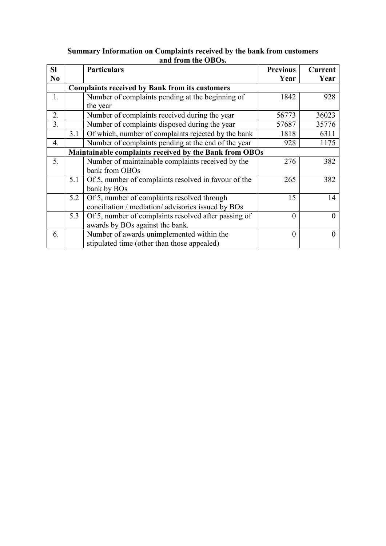| <b>SI</b>      |     | <b>Particulars</b>                                     | <b>Previous</b> | <b>Current</b> |  |  |  |  |  |
|----------------|-----|--------------------------------------------------------|-----------------|----------------|--|--|--|--|--|
| N <sub>0</sub> |     |                                                        | Year            | Year           |  |  |  |  |  |
|                |     | <b>Complaints received by Bank from its customers</b>  |                 |                |  |  |  |  |  |
| 1.             |     | Number of complaints pending at the beginning of       | 1842            | 928            |  |  |  |  |  |
|                |     | the year                                               |                 |                |  |  |  |  |  |
| 2.             |     | Number of complaints received during the year          | 56773           | 36023          |  |  |  |  |  |
| 3.             |     | Number of complaints disposed during the year          | 57687           | 35776          |  |  |  |  |  |
|                | 3.1 | Of which, number of complaints rejected by the bank    | 1818            | 6311           |  |  |  |  |  |
| 4.             |     | Number of complaints pending at the end of the year    | 928             | 1175           |  |  |  |  |  |
|                |     | Maintainable complaints received by the Bank from OBOs |                 |                |  |  |  |  |  |
| 5.             |     | Number of maintainable complaints received by the      | 276             | 382            |  |  |  |  |  |
|                |     | bank from OBOs                                         |                 |                |  |  |  |  |  |
|                | 5.1 | Of 5, number of complaints resolved in favour of the   | 265             | 382            |  |  |  |  |  |
|                |     | bank by BOs                                            |                 |                |  |  |  |  |  |
|                | 5.2 | Of 5, number of complaints resolved through            | 15              | 14             |  |  |  |  |  |
|                |     | conciliation / mediation/ advisories issued by BOs     |                 |                |  |  |  |  |  |
|                | 5.3 | Of 5, number of complaints resolved after passing of   | $\Omega$        |                |  |  |  |  |  |
|                |     | awards by BOs against the bank.                        |                 |                |  |  |  |  |  |
| 6.             |     | Number of awards unimplemented within the              | 0               |                |  |  |  |  |  |
|                |     | stipulated time (other than those appealed)            |                 |                |  |  |  |  |  |

## **Summary Information on Complaints received by the bank from customers and from the OBOs.**